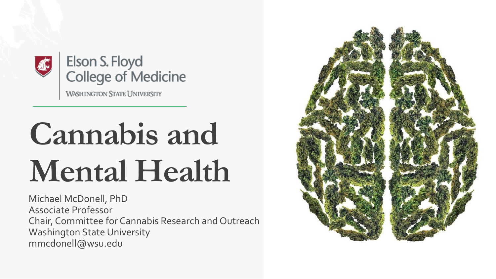

Elson S. Floyd **College of Medicine** 

**WASHINGTON STATE UNIVERSITY** 

## **Cannabis and Mental Health**

Michael McDonell, PhD Associate Professor Chair, Committee for Cannabis Research and Outreach Washington State University mmcdonell@wsu.edu

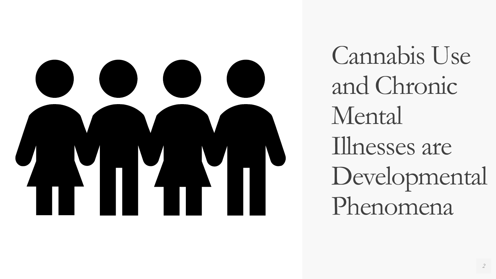

Cannabis Use and Chronic Mental Illnesses are Developmental Phenomena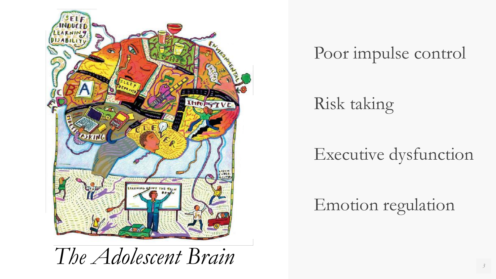

Poor impulse control

Risk taking

#### Executive dysfunction

Emotion regulation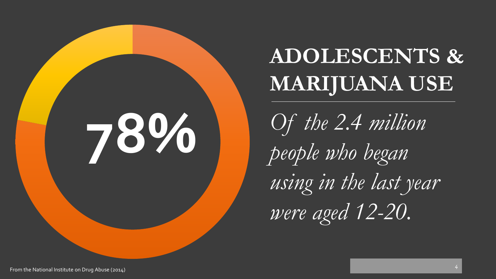

### **ADOLESCENTS & MARIJUANA USE**

*Of the 2.4 million people who began using in the last year were aged 12-20.*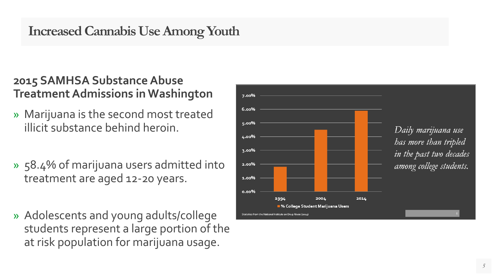#### **Increased Cannabis Use Among Youth**

#### **2015 SAMHSA Substance Abuse Treatment Admissions in Washington**

- » Marijuana is the second most treated illicit substance behind heroin.
- » 58.4% of marijuana users admitted into treatment are aged 12 -20 years.
- » Adolescents and young adults/college students represent a large portion of the at risk population for marijuana usage.

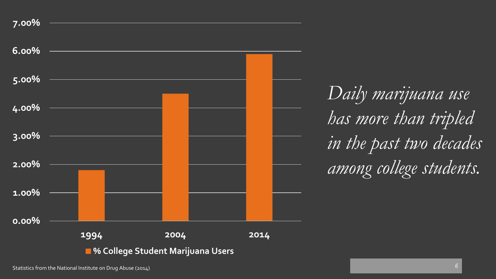



Statistics from the National Institute on Drug Abuse (2014)

*in the past two decades among college students.*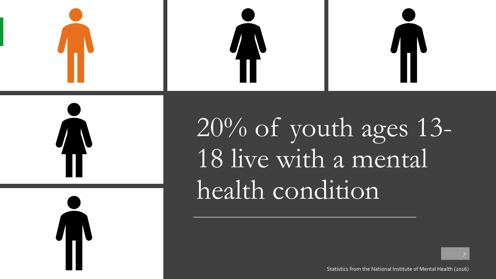

20% of youth ages 13- 18 live with a mental health condition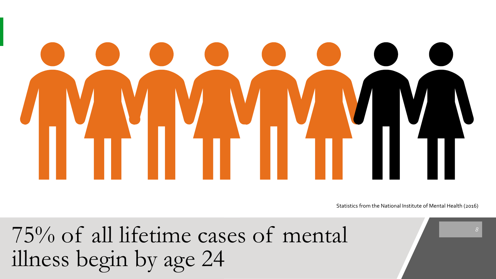Statistics from the National Institute of Mental Health (2016)

75% of all lifetime cases of mental illness begin by age 24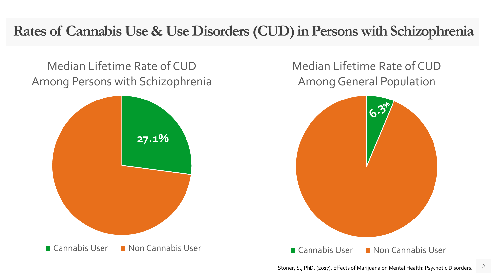#### **Rates of Cannabis Use & Use Disorders (CUD) in Persons with Schizophrenia**

Median Lifetime Rate of CUD Among Persons with Schizophrenia



Median Lifetime Rate of CUD Among General Population

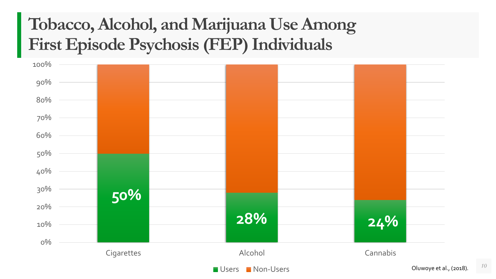#### **Tobacco, Alcohol, and Marijuana Use Among First Episode Psychosis (FEP) Individuals**

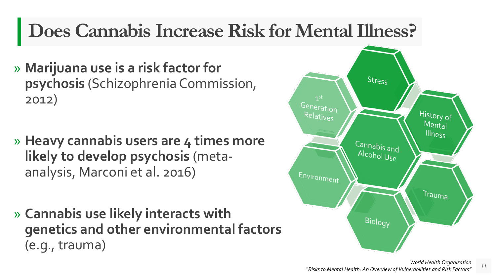#### **Does Cannabis Increase Risk for Mental Illness?**

- » **Marijuana use is a risk factor for psychosis** (Schizophrenia Commission, 2012)
- » **Heavy cannabis users are 4 times more likely to develop psychosis** (metaanalysis, Marconi et al. 2016)
- » **Cannabis use likely interacts with genetics and other environmental factors** (e.g., trauma)



*11*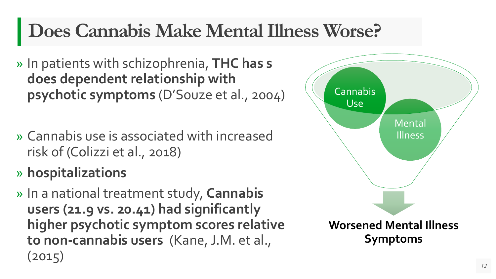#### **Does Cannabis Make Mental Illness Worse?**

- » In patients with schizophrenia, **THC has s does dependent relationship with psychotic symptoms** (D'Souze et al., 2004)
- » Cannabis use is associated with increased risk of (Colizzi et al., 2018)
- » **hospitalizations**
- » In a national treatment study, **Cannabis users (21.9 vs. 20.41) had significantly higher psychotic symptom scores relative to non-cannabis users** (Kane, J.M. et al., (2015)

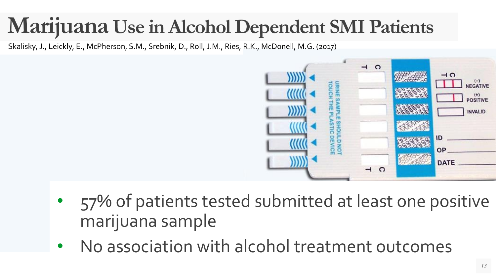#### **Marijuana Use in Alcohol Dependent SMI Patients**

Skalisky, J., Leickly, E., McPherson, S.M., Srebnik, D., Roll, J.M., Ries, R.K., McDonell, M.G. (2017)



- 57% of patients tested submitted at least one positive marijuana sample
- No association with alcohol treatment outcomes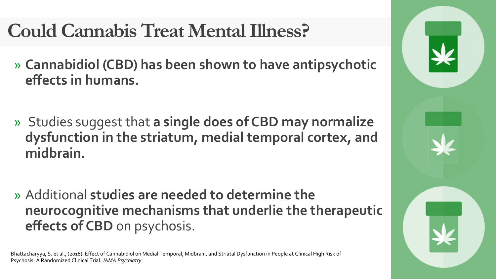#### **Could Cannabis Treat Mental Illness?**

- » **Cannabidiol (CBD) has been shown to have antipsychotic effects in humans.**
- » Studies suggest that **a single does of CBD may normalize dysfunction in the striatum, medial temporal cortex, and midbrain.**
- » Additional **studies are needed to determine the neurocognitive mechanisms that underlie the therapeutic effects of CBD** on psychosis.

Bhattacharyya, S. et al., (2018). Effect of Cannabidiol on Medial Temporal, Midbrain, and Striatal Dysfunction in People at Clinical High Risk of Psychosis: A Randomized Clinical Trial. *JAMA Psychiatry*.

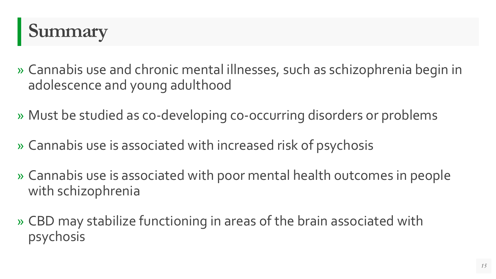

- » Cannabis use and chronic mental illnesses, such as schizophrenia begin in adolescence and young adulthood
- » Must be studied as co-developing co-occurring disorders or problems
- » Cannabis use is associated with increased risk of psychosis
- » Cannabis use is associated with poor mental health outcomes in people with schizophrenia
- » CBD may stabilize functioning in areas of the brain associated with psychosis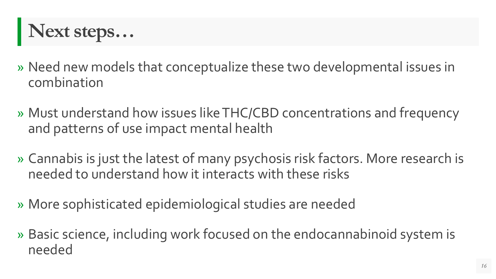

- » Need new models that conceptualize these two developmental issues in combination
- » Must understand how issues like THC/CBD concentrations and frequency and patterns of use impact mental health
- » Cannabis is just the latest of many psychosis risk factors. More research is needed to understand how it interacts with these risks
- » More sophisticated epidemiological studies are needed
- » Basic science, including work focused on the endocannabinoid system is needed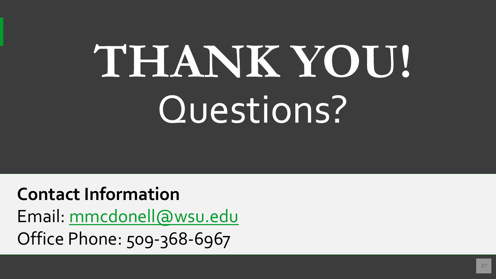# **THANK YOU!** Questions?

**Contact Information** Email: [mmcdonell@wsu.edu](mailto:mmcdonell@wsu.edu) Office Phone: 509-368-6967